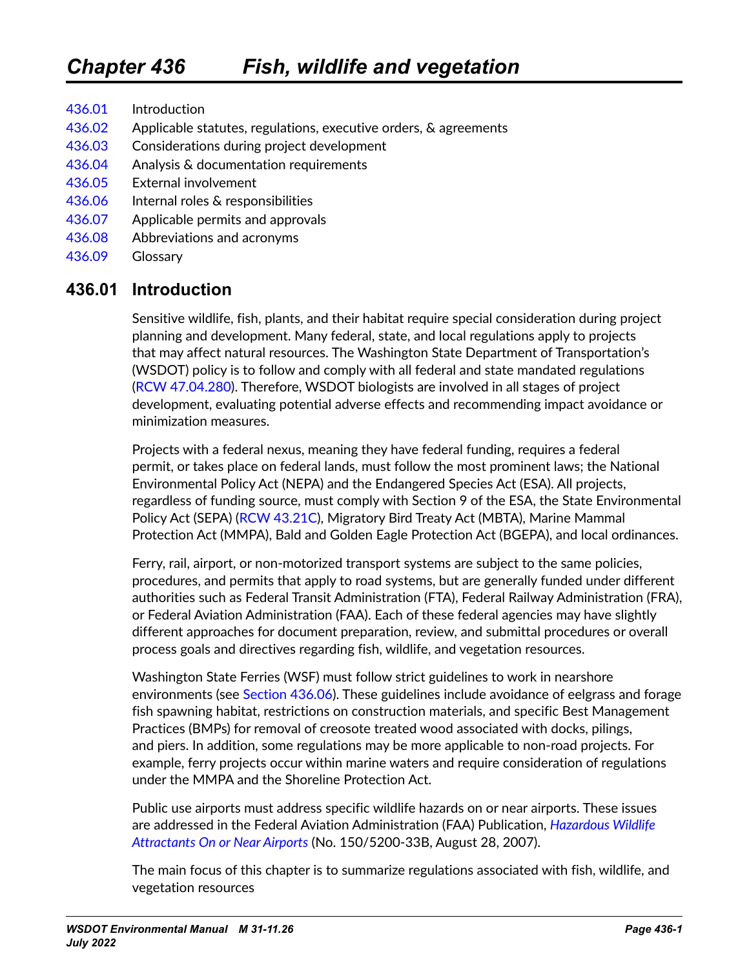[436.01](#page-0-0) Introduction [436.02](#page-1-0) Applicable statutes, regulations, executive orders, & agreements [436.03](#page-1-1) Considerations during project development [436.04](#page-3-0) Analysis & documentation requirements [436.05](#page-7-0) External involvement [436.06](#page-9-0) Internal roles & responsibilities [436.07](#page-9-1) Applicable permits and approvals [436.08](#page-10-0) Abbreviations and acronyms [436.09](#page-11-0) Glossary

# **436.01 Introduction**

<span id="page-0-0"></span>Sensitive wildlife, fish, plants, and their habitat require special consideration during project planning and development. Many federal, state, and local regulations apply to projects that may affect natural resources. The Washington State Department of Transportation's (WSDOT) policy is to follow and comply with all federal and state mandated regulations ([RCW 47.04.280](http://apps.leg.wa.gov/RCW/default.aspx?cite=47.04.280)). Therefore, WSDOT biologists are involved in all stages of project development, evaluating potential adverse effects and recommending impact avoidance or minimization measures.

Projects with a federal nexus, meaning they have federal funding, requires a federal permit, or takes place on federal lands, must follow the most prominent laws; the National Environmental Policy Act (NEPA) and the Endangered Species Act (ESA). All projects, regardless of funding source, must comply with Section 9 of the ESA, the State Environmental Policy Act (SEPA) ([RCW 43.21C](http://apps.leg.wa.gov/RCW/default.aspx?cite=43.21C)), Migratory Bird Treaty Act (MBTA), Marine Mammal Protection Act (MMPA), Bald and Golden Eagle Protection Act (BGEPA), and local ordinances.

Ferry, rail, airport, or non-motorized transport systems are subject to the same policies, procedures, and permits that apply to road systems, but are generally funded under different authorities such as Federal Transit Administration (FTA), Federal Railway Administration (FRA), or Federal Aviation Administration (FAA). Each of these federal agencies may have slightly different approaches for document preparation, review, and submittal procedures or overall process goals and directives regarding fish, wildlife, and vegetation resources.

Washington State Ferries (WSF) must follow strict guidelines to work in nearshore environments (see [Section 436.06\)](#page-9-0). These guidelines include avoidance of eelgrass and forage fish spawning habitat, restrictions on construction materials, and specific Best Management Practices (BMPs) for removal of creosote treated wood associated with docks, pilings, and piers. In addition, some regulations may be more applicable to non-road projects. For example, ferry projects occur within marine waters and require consideration of regulations under the MMPA and the Shoreline Protection Act.

Public use airports must address specific wildlife hazards on or near airports. These issues are addressed in the Federal Aviation Administration (FAA) Publication, *[Hazardous Wildlife](http://www.faa.gov/airports/resources/advisory_circulars/index.cfm/go/document.information/documentNumber/150_5200-33B)  [Attractants On or Near Airports](http://www.faa.gov/airports/resources/advisory_circulars/index.cfm/go/document.information/documentNumber/150_5200-33B)* (No. 150/5200-33B, August 28, 2007).

The main focus of this chapter is to summarize regulations associated with fish, wildlife, and vegetation resources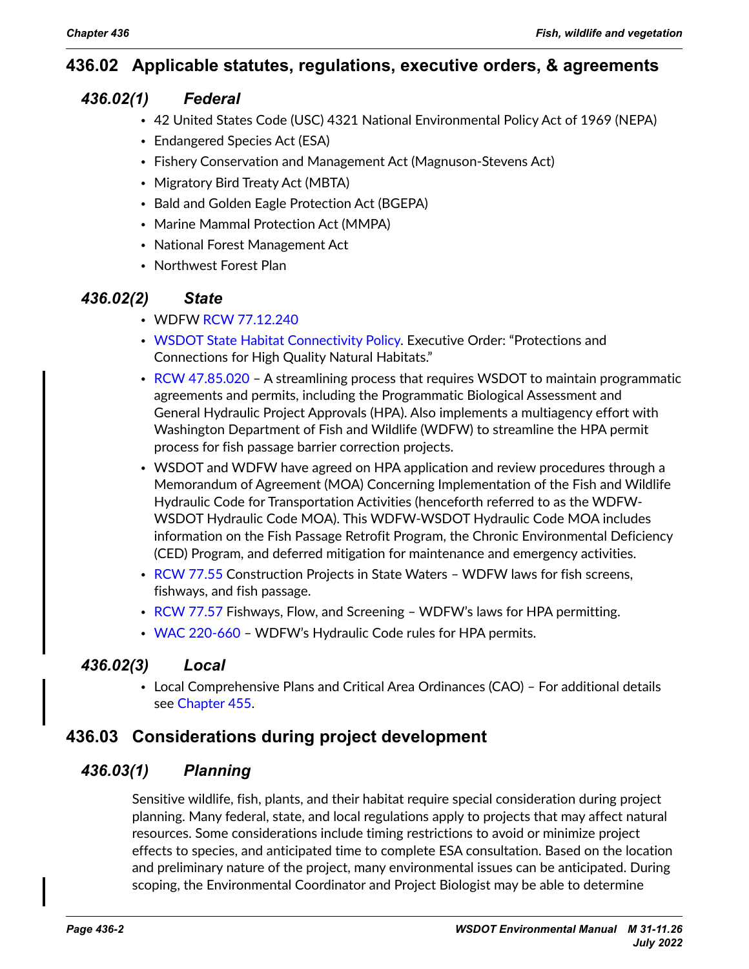# **436.02 Applicable statutes, regulations, executive orders, & agreements**

### *436.02(1) Federal*

- <span id="page-1-0"></span>• 42 United States Code (USC) 4321 National Environmental Policy Act of 1969 (NEPA)
- Endangered Species Act (ESA)
- Fishery Conservation and Management Act (Magnuson-Stevens Act)
- Migratory Bird Treaty Act (MBTA)
- Bald and Golden Eagle Protection Act (BGEPA)
- Marine Mammal Protection Act (MMPA)
- National Forest Management Act
- Northwest Forest Plan

### *436.02(2) State*

- WDFW [RCW 77.12.240](https://apps.leg.wa.gov/RCW/default.aspx?cite=77.12.240)
- [WSDOT State Habitat Connectivity Policy](http://wwwi.wsdot.wa.gov/publications/policies/fulltext/1031.pdf). Executive Order: "Protections and Connections for High Quality Natural Habitats."
- [RCW 47.85.020](https://app.leg.wa.gov/RCW/default.aspx?cite=47.85.020) A streamlining process that requires WSDOT to maintain programmatic agreements and permits, including the Programmatic Biological Assessment and General Hydraulic Project Approvals (HPA). Also implements a multiagency effort with Washington Department of Fish and Wildlife (WDFW) to streamline the HPA permit process for fish passage barrier correction projects.
- WSDOT and WDFW have agreed on HPA application and review procedures through a Memorandum of Agreement (MOA) Concerning Implementation of the Fish and Wildlife Hydraulic Code for Transportation Activities (henceforth referred to as the WDFW-WSDOT Hydraulic Code MOA). This WDFW-WSDOT Hydraulic Code MOA includes information on the Fish Passage Retrofit Program, the Chronic Environmental Deficiency (CED) Program, and deferred mitigation for maintenance and emergency activities.
- [RCW 77.55](https://apps.leg.wa.gov/rcw/default.aspx?cite=77.55) Construction Projects in State Waters WDFW laws for fish screens, fishways, and fish passage.
- [RCW 77.57](https://app.leg.wa.gov/rcw/default.aspx?cite=77.57) Fishways, Flow, and Screening WDFW's laws for HPA permitting.
- [WAC 220-660](https://apps.leg.wa.gov/wac/default.aspx?cite=220-660)  WDFW's Hydraulic Code rules for HPA permits.

# *436.02(3) Local*

<span id="page-1-1"></span>• Local Comprehensive Plans and Critical Area Ordinances (CAO) – For additional details see Chapter 455.

# **436.03 Considerations during project development**

### *436.03(1) Planning*

Sensitive wildlife, fish, plants, and their habitat require special consideration during project planning. Many federal, state, and local regulations apply to projects that may affect natural resources. Some considerations include timing restrictions to avoid or minimize project effects to species, and anticipated time to complete ESA consultation. Based on the location and preliminary nature of the project, many environmental issues can be anticipated. During scoping, the Environmental Coordinator and Project Biologist may be able to determine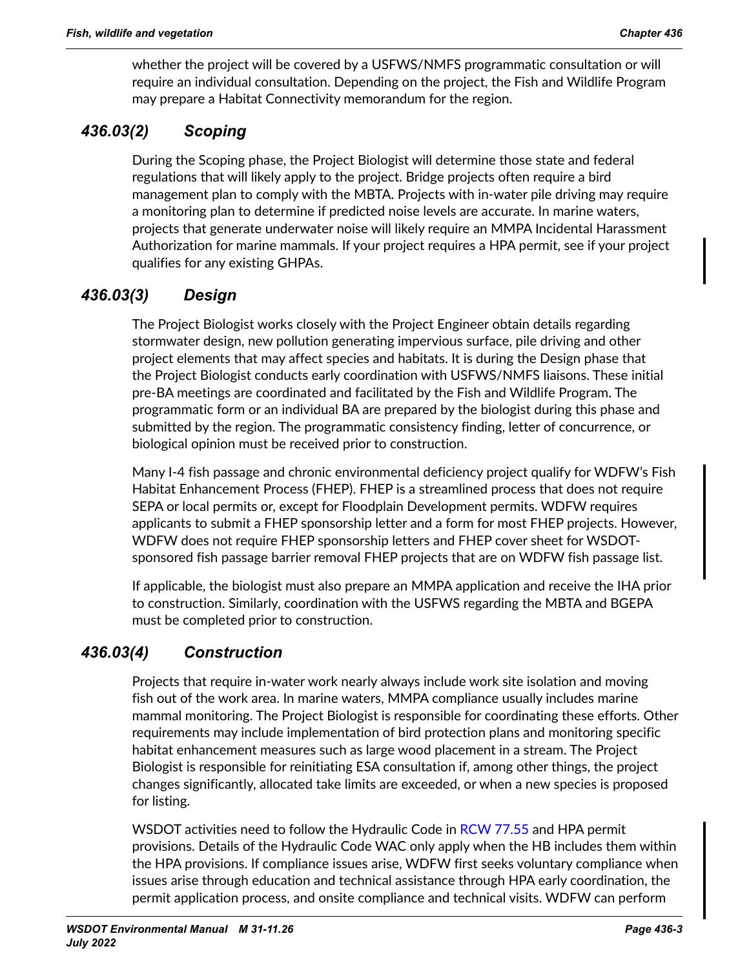whether the project will be covered by a USFWS/NMFS programmatic consultation or will require an individual consultation. Depending on the project, the Fish and Wildlife Program may prepare a Habitat Connectivity memorandum for the region.

# *436.03(2) Scoping*

During the Scoping phase, the Project Biologist will determine those state and federal regulations that will likely apply to the project. Bridge projects often require a bird management plan to comply with the MBTA. Projects with in-water pile driving may require a monitoring plan to determine if predicted noise levels are accurate. In marine waters, projects that generate underwater noise will likely require an MMPA Incidental Harassment Authorization for marine mammals. If your project requires a HPA permit, see if your project qualifies for any existing GHPAs.

# *436.03(3) Design*

The Project Biologist works closely with the Project Engineer obtain details regarding stormwater design, new pollution generating impervious surface, pile driving and other project elements that may affect species and habitats. It is during the Design phase that the Project Biologist conducts early coordination with USFWS/NMFS liaisons. These initial pre-BA meetings are coordinated and facilitated by the Fish and Wildlife Program. The programmatic form or an individual BA are prepared by the biologist during this phase and submitted by the region. The programmatic consistency finding, letter of concurrence, or biological opinion must be received prior to construction.

Many I-4 fish passage and chronic environmental deficiency project qualify for WDFW's Fish Habitat Enhancement Process (FHEP). FHEP is a streamlined process that does not require SEPA or local permits or, except for Floodplain Development permits. WDFW requires applicants to submit a FHEP sponsorship letter and a form for most FHEP projects. However, WDFW does not require FHEP sponsorship letters and FHEP cover sheet for WSDOTsponsored fish passage barrier removal FHEP projects that are on WDFW fish passage list.

If applicable, the biologist must also prepare an MMPA application and receive the IHA prior to construction. Similarly, coordination with the USFWS regarding the MBTA and BGEPA must be completed prior to construction.

# *436.03(4) Construction*

Projects that require in-water work nearly always include work site isolation and moving fish out of the work area. In marine waters, MMPA compliance usually includes marine mammal monitoring. The Project Biologist is responsible for coordinating these efforts. Other requirements may include implementation of bird protection plans and monitoring specific habitat enhancement measures such as large wood placement in a stream. The Project Biologist is responsible for reinitiating ESA consultation if, among other things, the project changes significantly, allocated take limits are exceeded, or when a new species is proposed for listing.

WSDOT activities need to follow the Hydraulic Code in [RCW 77.55](https://app.leg.wa.gov/RCW/default.aspx?cite=77.55) and HPA permit provisions. Details of the Hydraulic Code WAC only apply when the HB includes them within the HPA provisions. If compliance issues arise, WDFW first seeks voluntary compliance when issues arise through education and technical assistance through HPA early coordination, the permit application process, and onsite compliance and technical visits. WDFW can perform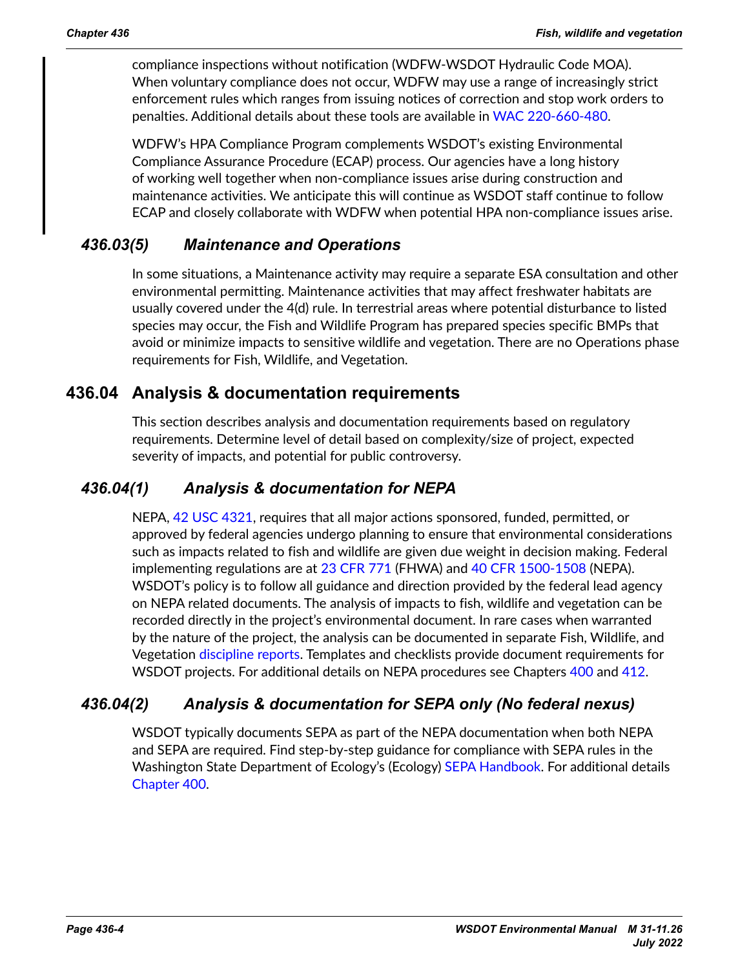compliance inspections without notification (WDFW-WSDOT Hydraulic Code MOA). When voluntary compliance does not occur, WDFW may use a range of increasingly strict enforcement rules which ranges from issuing notices of correction and stop work orders to penalties. Additional details about these tools are available in [WAC 220-660-480.](https://app.leg.wa.gov/WAC/default.aspx?cite=220-660-480)

WDFW's HPA Compliance Program complements WSDOT's existing Environmental Compliance Assurance Procedure (ECAP) process. Our agencies have a long history of working well together when non-compliance issues arise during construction and maintenance activities. We anticipate this will continue as WSDOT staff continue to follow ECAP and closely collaborate with WDFW when potential HPA non-compliance issues arise.

# *436.03(5) Maintenance and Operations*

In some situations, a Maintenance activity may require a separate ESA consultation and other environmental permitting. Maintenance activities that may affect freshwater habitats are usually covered under the 4(d) rule. In terrestrial areas where potential disturbance to listed species may occur, the Fish and Wildlife Program has prepared species specific BMPs that avoid or minimize impacts to sensitive wildlife and vegetation. There are no Operations phase requirements for Fish, Wildlife, and Vegetation.

# **436.04 Analysis & documentation requirements**

<span id="page-3-0"></span>This section describes analysis and documentation requirements based on regulatory requirements. Determine level of detail based on complexity/size of project, expected severity of impacts, and potential for public controversy.

## *436.04(1) Analysis & documentation for NEPA*

NEPA, [42 USC 4321,](http://www.law.cornell.edu/uscode/text/42/4321) requires that all major actions sponsored, funded, permitted, or approved by federal agencies undergo planning to ensure that environmental considerations such as impacts related to fish and wildlife are given due weight in decision making. Federal implementing regulations are at [23 CFR 771](https://www.ecfr.gov/cgi-bin/text-idx?SID=176ccb4fc8658de5ce8fcb1e71b464ed&mc=true&node=pt23.1.771&rgn=div5) (FHWA) and [40 CFR 1500-1508](http://www.ecfr.gov/cgi-bin/text-idx?SID=96667044570b73ee064add0a4afa51f1&c=ecfr&tpl=/ecfrbrowse/Title40/40cfrv34_02.tpl) (NEPA). WSDOT's policy is to follow all guidance and direction provided by the federal lead agency on NEPA related documents. The analysis of impacts to fish, wildlife and vegetation can be recorded directly in the project's environmental document. In rare cases when warranted by the nature of the project, the analysis can be documented in separate Fish, Wildlife, and Vegetation [discipline reports](https://www.wsdot.wa.gov/environment/technical/disciplines/fish-wildlife/policies-procedures/nepa-sepa-fish-wildlife-eval). Templates and checklists provide document requirements for WSDOT projects. For additional details on NEPA procedures see Chapters 400 and 412.

# *436.04(2) Analysis & documentation for SEPA only (No federal nexus)*

WSDOT typically documents SEPA as part of the NEPA documentation when both NEPA and SEPA are required. Find step-by-step guidance for compliance with SEPA rules in the Washington State Department of Ecology's (Ecology) [SEPA Handbook](https://fortress.wa.gov/ecy/publications/documents/98114.pdf). For additional details Chapter 400.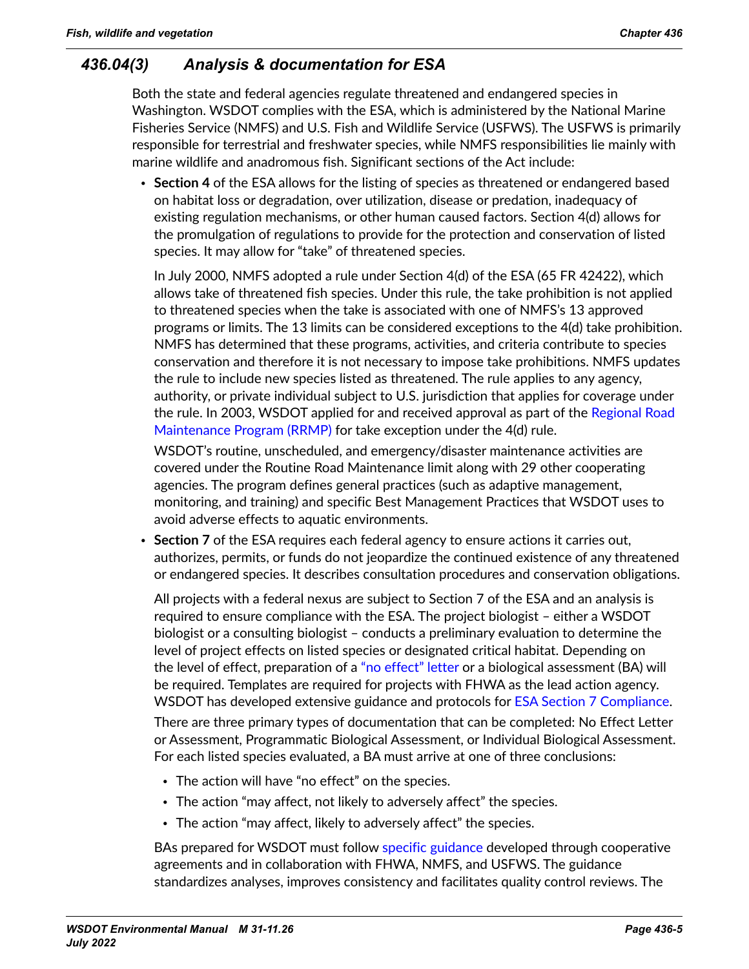# *436.04(3) Analysis & documentation for ESA*

Both the state and federal agencies regulate threatened and endangered species in Washington. WSDOT complies with the ESA, which is administered by the National Marine Fisheries Service (NMFS) and U.S. Fish and Wildlife Service (USFWS). The USFWS is primarily responsible for terrestrial and freshwater species, while NMFS responsibilities lie mainly with marine wildlife and anadromous fish. Significant sections of the Act include:

• **Section 4** of the ESA allows for the listing of species as threatened or endangered based on habitat loss or degradation, over utilization, disease or predation, inadequacy of existing regulation mechanisms, or other human caused factors. Section 4(d) allows for the promulgation of regulations to provide for the protection and conservation of listed species. It may allow for "take" of threatened species.

In July 2000, NMFS adopted a rule under Section 4(d) of the ESA (65 FR 42422), which allows take of threatened fish species. Under this rule, the take prohibition is not applied to threatened species when the take is associated with one of NMFS's 13 approved programs or limits. The 13 limits can be considered exceptions to the 4(d) take prohibition. NMFS has determined that these programs, activities, and criteria contribute to species conservation and therefore it is not necessary to impose take prohibitions. NMFS updates the rule to include new species listed as threatened. The rule applies to any agency, authority, or private individual subject to U.S. jurisdiction that applies for coverage under the rule. In 2003, WSDOT applied for and received approval as part of the Regional Road [Maintenance Program \(RRMP\)](https://wsdot.wa.gov/construction-planning/protecting-environment/regional-roadside-maintenance) for take exception under the 4(d) rule.

WSDOT's routine, unscheduled, and emergency/disaster maintenance activities are covered under the Routine Road Maintenance limit along with 29 other cooperating agencies. The program defines general practices (such as adaptive management, monitoring, and training) and specific Best Management Practices that WSDOT uses to avoid adverse effects to aquatic environments.

• **Section 7** of the ESA requires each federal agency to ensure actions it carries out, authorizes, permits, or funds do not jeopardize the continued existence of any threatened or endangered species. It describes consultation procedures and conservation obligations.

All projects with a federal nexus are subject to Section 7 of the ESA and an analysis is required to ensure compliance with the ESA. The project biologist – either a WSDOT biologist or a consulting biologist – conducts a preliminary evaluation to determine the level of project effects on listed species or designated critical habitat. Depending on the level of effect, preparation of a ["no effect" letter](https://wsdot.wa.gov/engineering-standards/environmental-guidance/endangered-species-act-essential-fish-habitat) or a biological assessment (BA) will be required. Templates are required for projects with FHWA as the lead action agency. WSDOT has developed extensive guidance and protocols for [ESA Section 7 Compliance](https://wsdot.wa.gov/engineering-standards/environmental-guidance/endangered-species-act-essential-fish-habitat).

There are three primary types of documentation that can be completed: No Effect Letter or Assessment, Programmatic Biological Assessment, or Individual Biological Assessment. For each listed species evaluated, a BA must arrive at one of three conclusions:

- The action will have "no effect" on the species.
- The action "may affect, not likely to adversely affect" the species.
- The action "may affect, likely to adversely affect" the species.

BAs prepared for WSDOT must follow [specific guidance](https://wsdot.wa.gov/engineering-standards/environmental-guidance/endangered-species-act-essential-fish-habitat) developed through cooperative agreements and in collaboration with FHWA, NMFS, and USFWS. The guidance standardizes analyses, improves consistency and facilitates quality control reviews. The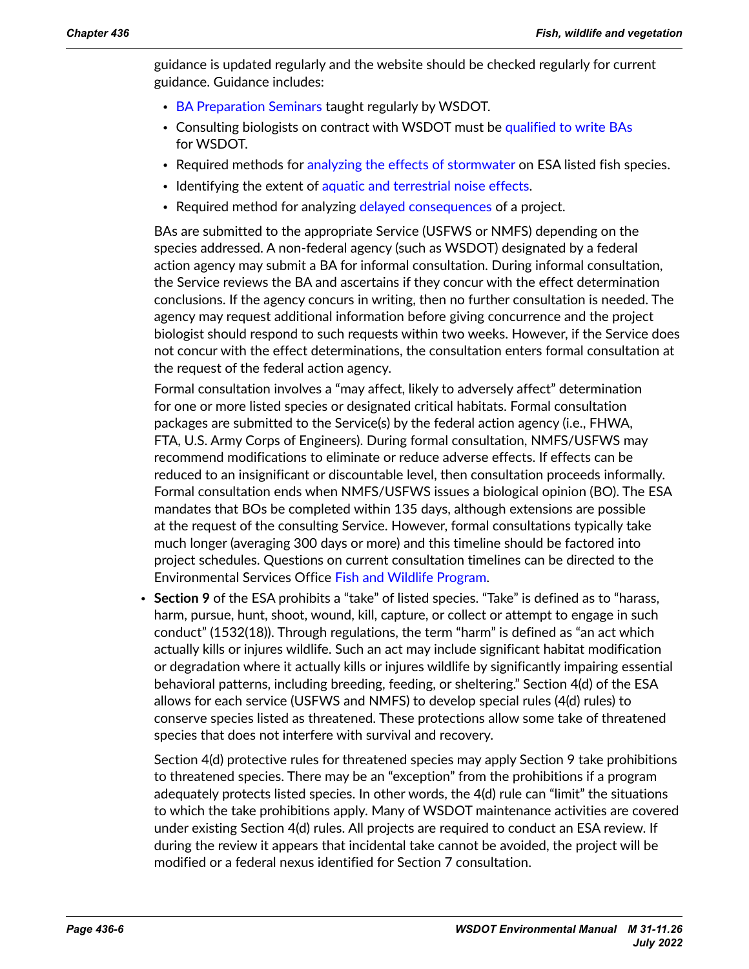guidance is updated regularly and the website should be checked regularly for current guidance. Guidance includes:

- [BA Preparation Seminars](https://wsdot.wa.gov/engineering-standards/environmental-guidance/endangered-species-act-essential-fish-habitat) taught regularly by WSDOT.
- Consulting biologists on contract with WSDOT must be [qualified to write BAs](https://wsdot.wa.gov/engineering-standards/environmental-guidance/endangered-species-act-essential-fish-habitat) for WSDOT.
- Required methods for [analyzing the effects of stormwater](https://wsdot.wa.gov/sites/default/files/2021-10/Env-FW-BA_ManualCH17.pdf) on ESA listed fish species.
- Identifying the extent of [aquatic and terrestrial noise effects.](https://wsdot.wa.gov/sites/default/files/2021-10/Env-FW-BA_ManualCH07.pdf)
- Required method for analyzing [delayed consequences](https://wsdot.wa.gov/sites/default/files/2021-10/Env-FW-BA_ManualCH10.pdf) of a project.

BAs are submitted to the appropriate Service (USFWS or NMFS) depending on the species addressed. A non-federal agency (such as WSDOT) designated by a federal action agency may submit a BA for informal consultation. During informal consultation, the Service reviews the BA and ascertains if they concur with the effect determination conclusions. If the agency concurs in writing, then no further consultation is needed. The agency may request additional information before giving concurrence and the project biologist should respond to such requests within two weeks. However, if the Service does not concur with the effect determinations, the consultation enters formal consultation at the request of the federal action agency.

Formal consultation involves a "may affect, likely to adversely affect" determination for one or more listed species or designated critical habitats. Formal consultation packages are submitted to the Service(s) by the federal action agency (i.e., FHWA, FTA, U.S. Army Corps of Engineers). During formal consultation, NMFS/USFWS may recommend modifications to eliminate or reduce adverse effects. If effects can be reduced to an insignificant or discountable level, then consultation proceeds informally. Formal consultation ends when NMFS/USFWS issues a biological opinion (BO). The ESA mandates that BOs be completed within 135 days, although extensions are possible at the request of the consulting Service. However, formal consultations typically take much longer (averaging 300 days or more) and this timeline should be factored into project schedules. Questions on current consultation timelines can be directed to the Environmental Services Office [Fish and Wildlife Program.](mailto:mailto:jeff.dreier%40wsdot.wa.gov?subject=)

• **Section 9** of the ESA prohibits a "take" of listed species. "Take" is defined as to "harass, harm, pursue, hunt, shoot, wound, kill, capture, or collect or attempt to engage in such conduct" (1532(18)). Through regulations, the term "harm" is defined as "an act which actually kills or injures wildlife. Such an act may include significant habitat modification or degradation where it actually kills or injures wildlife by significantly impairing essential behavioral patterns, including breeding, feeding, or sheltering." Section 4(d) of the ESA allows for each service (USFWS and NMFS) to develop special rules (4(d) rules) to conserve species listed as threatened. These protections allow some take of threatened species that does not interfere with survival and recovery.

Section 4(d) protective rules for threatened species may apply Section 9 take prohibitions to threatened species. There may be an "exception" from the prohibitions if a program adequately protects listed species. In other words, the 4(d) rule can "limit" the situations to which the take prohibitions apply. Many of WSDOT maintenance activities are covered under existing Section 4(d) rules. All projects are required to conduct an ESA review. If during the review it appears that incidental take cannot be avoided, the project will be modified or a federal nexus identified for Section 7 consultation.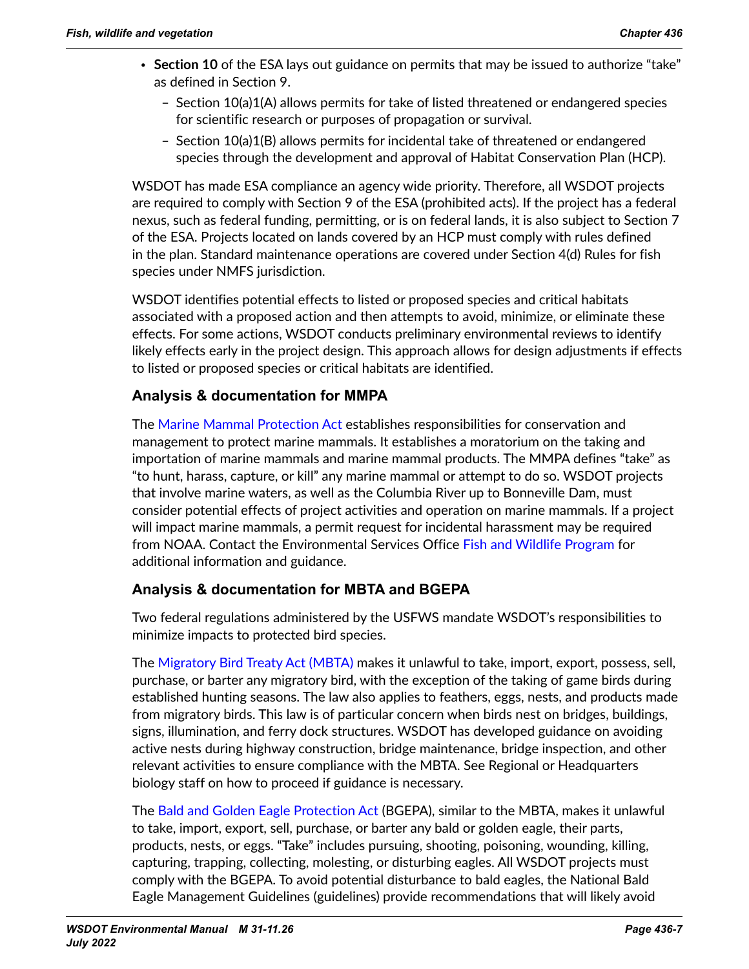- **Section 10** of the ESA lays out guidance on permits that may be issued to authorize "take" as defined in Section 9.
	- **–** Section 10(a)1(A) allows permits for take of listed threatened or endangered species for scientific research or purposes of propagation or survival.
	- **–** Section 10(a)1(B) allows permits for incidental take of threatened or endangered species through the development and approval of Habitat Conservation Plan (HCP).

WSDOT has made ESA compliance an agency wide priority. Therefore, all WSDOT projects are required to comply with Section 9 of the ESA (prohibited acts). If the project has a federal nexus, such as federal funding, permitting, or is on federal lands, it is also subject to Section 7 of the ESA. Projects located on lands covered by an HCP must comply with rules defined in the plan. Standard maintenance operations are covered under Section 4(d) Rules for fish species under NMFS jurisdiction.

WSDOT identifies potential effects to listed or proposed species and critical habitats associated with a proposed action and then attempts to avoid, minimize, or eliminate these effects. For some actions, WSDOT conducts preliminary environmental reviews to identify likely effects early in the project design. This approach allows for design adjustments if effects to listed or proposed species or critical habitats are identified.

### **Analysis & documentation for MMPA**

The [Marine Mammal Protection Act](https://www.fisheries.noaa.gov/national/marine-mammal-protection/marine-mammal-protection-act) establishes responsibilities for conservation and management to protect marine mammals. It establishes a moratorium on the taking and importation of marine mammals and marine mammal products. The MMPA defines "take" as "to hunt, harass, capture, or kill" any marine mammal or attempt to do so. WSDOT projects that involve marine waters, as well as the Columbia River up to Bonneville Dam, must consider potential effects of project activities and operation on marine mammals. If a project will impact marine mammals, a permit request for incidental harassment may be required from NOAA. Contact the Environmental Services Office [Fish and Wildlife Program](mailto:kelly.mcallister%40wsdot.wa.gov?subject=) for additional information and guidance.

### **Analysis & documentation for MBTA and BGEPA**

Two federal regulations administered by the USFWS mandate WSDOT's responsibilities to minimize impacts to protected bird species.

The [Migratory Bird Treaty Act \(MBTA\)](http://www.fws.gov/laws/lawsdigest/migtrea.html) makes it unlawful to take, import, export, possess, sell, purchase, or barter any migratory bird, with the exception of the taking of game birds during established hunting seasons. The law also applies to feathers, eggs, nests, and products made from migratory birds. This law is of particular concern when birds nest on bridges, buildings, signs, illumination, and ferry dock structures. WSDOT has developed guidance on avoiding active nests during highway construction, bridge maintenance, bridge inspection, and other relevant activities to ensure compliance with the MBTA. See Regional or Headquarters biology staff on how to proceed if guidance is necessary.

The [Bald and Golden Eagle Protection Act](https://www.fws.gov/birds/management/managed-species/bald-and-golden-eagle-information.php) (BGEPA), similar to the MBTA, makes it unlawful to take, import, export, sell, purchase, or barter any bald or golden eagle, their parts, products, nests, or eggs. "Take" includes pursuing, shooting, poisoning, wounding, killing, capturing, trapping, collecting, molesting, or disturbing eagles. All WSDOT projects must comply with the BGEPA. To avoid potential disturbance to bald eagles, the National Bald Eagle Management Guidelines (guidelines) provide recommendations that will likely avoid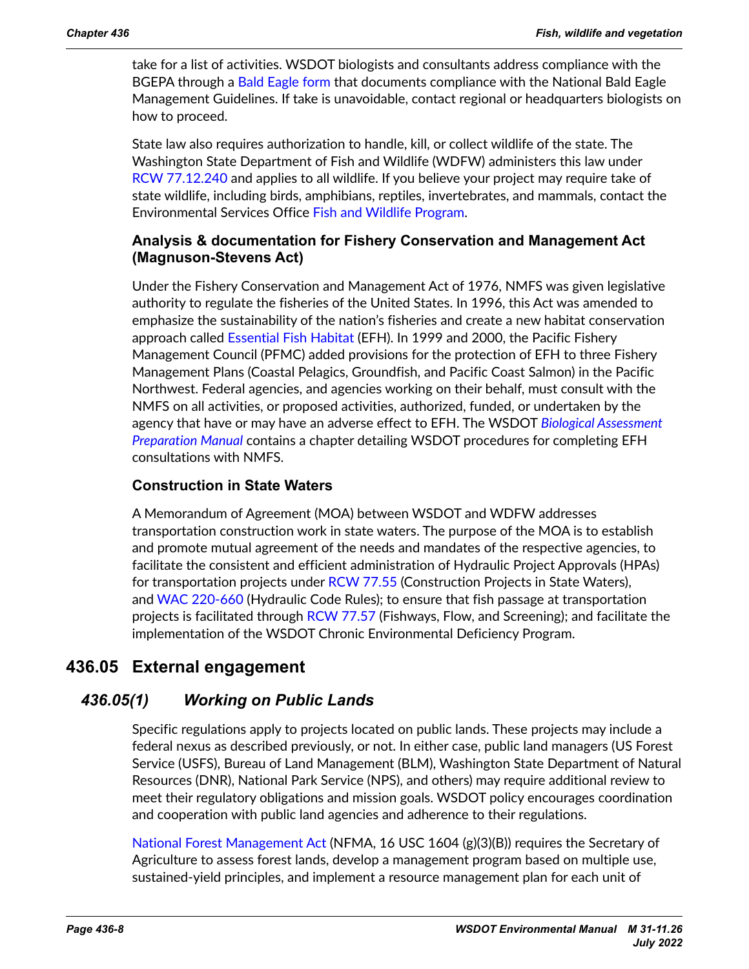take for a list of activities. WSDOT biologists and consultants address compliance with the BGEPA through a [Bald Eagle form](http://www.wsdot.wa.gov/sites/default/files/2017/10/10/Env-FW-BaldEagleForm.doc) that documents compliance with the National Bald Eagle Management Guidelines. If take is unavoidable, contact regional or headquarters biologists on how to proceed.

State law also requires authorization to handle, kill, or collect wildlife of the state. The Washington State Department of Fish and Wildlife (WDFW) administers this law under [RCW 77.12.240](http://apps.leg.wa.gov/rcw/default.aspx?cite=77.12.240) and applies to all wildlife. If you believe your project may require take of state wildlife, including birds, amphibians, reptiles, invertebrates, and mammals, contact the Environmental Services Office [Fish and Wildlife Program.](mailto:mailto:jeff.dreier%40wsdot.wa.gov?subject=)

#### **Analysis & documentation for Fishery Conservation and Management Act (Magnuson-Stevens Act)**

Under the Fishery Conservation and Management Act of 1976, NMFS was given legislative authority to regulate the fisheries of the United States. In 1996, this Act was amended to emphasize the sustainability of the nation's fisheries and create a new habitat conservation approach called [Essential Fish Habitat](http://www.habitat.noaa.gov/protection/efh/index.html) (EFH). In 1999 and 2000, the Pacific Fishery Management Council (PFMC) added provisions for the protection of EFH to three Fishery Management Plans (Coastal Pelagics, Groundfish, and Pacific Coast Salmon) in the Pacific Northwest. Federal agencies, and agencies working on their behalf, must consult with the NMFS on all activities, or proposed activities, authorized, funded, or undertaken by the agency that have or may have an adverse effect to EFH. The WSDOT *[Biological Assessment](https://wsdot.wa.gov/engineering-standards/environmental-guidance/endangered-species-act-essential-fish-habitat)  [Preparation Manual](https://wsdot.wa.gov/engineering-standards/environmental-guidance/endangered-species-act-essential-fish-habitat)* contains a chapter detailing WSDOT procedures for completing EFH consultations with NMFS.

#### **Construction in State Waters**

A Memorandum of Agreement (MOA) between WSDOT and WDFW addresses transportation construction work in state waters. The purpose of the MOA is to establish and promote mutual agreement of the needs and mandates of the respective agencies, to facilitate the consistent and efficient administration of Hydraulic Project Approvals (HPAs) for transportation projects under [RCW 77.55](http://apps.leg.wa.gov/rcw/default.aspx?cite=77.55) (Construction Projects in State Waters), and [WAC 220-660](http://apps.leg.wa.gov/WAC/default.aspx?cite=220-110) (Hydraulic Code Rules); to ensure that fish passage at transportation projects is facilitated through [RCW 77.57](http://apps.leg.wa.gov/rcw/default.aspx?cite=77.57) (Fishways, Flow, and Screening); and facilitate the implementation of the WSDOT Chronic Environmental Deficiency Program.

# **436.05 External engagement**

# *436.05(1) Working on Public Lands*

<span id="page-7-0"></span>Specific regulations apply to projects located on public lands. These projects may include a federal nexus as described previously, or not. In either case, public land managers (US Forest Service (USFS), Bureau of Land Management (BLM), Washington State Department of Natural Resources (DNR), National Park Service (NPS), and others) may require additional review to meet their regulatory obligations and mission goals. WSDOT policy encourages coordination and cooperation with public land agencies and adherence to their regulations.

[National Forest Management Act](http://www.fs.fed.us/emc/nfma/index.htm) (NFMA, 16 USC 1604 (g)(3)(B)) requires the Secretary of Agriculture to assess forest lands, develop a management program based on multiple use, sustained-yield principles, and implement a resource management plan for each unit of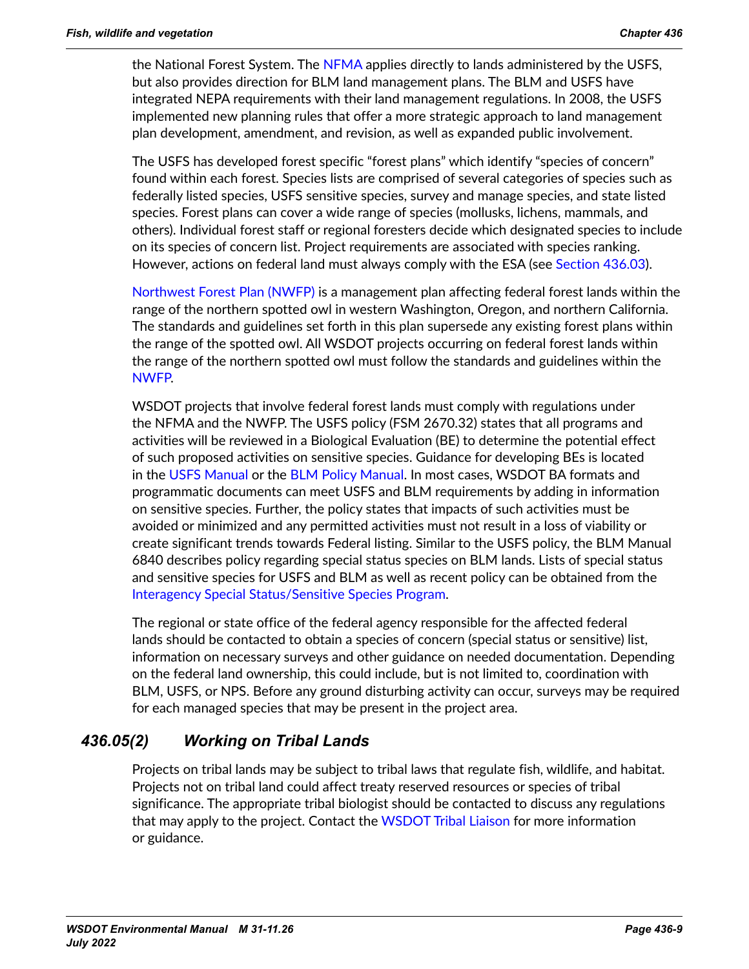the National Forest System. The [NFMA](http://www.fs.fed.us/emc/nfma/index.htm) applies directly to lands administered by the USFS, but also provides direction for BLM land management plans. The BLM and USFS have integrated NEPA requirements with their land management regulations. In 2008, the USFS implemented new planning rules that offer a more strategic approach to land management plan development, amendment, and revision, as well as expanded public involvement.

The USFS has developed forest specific "forest plans" which identify "species of concern" found within each forest. Species lists are comprised of several categories of species such as federally listed species, USFS sensitive species, survey and manage species, and state listed species. Forest plans can cover a wide range of species (mollusks, lichens, mammals, and others). Individual forest staff or regional foresters decide which designated species to include on its species of concern list. Project requirements are associated with species ranking. However, actions on federal land must always comply with the ESA (see [Section 436.03\)](#page-1-1).

[Northwest Forest Plan \(NWFP\)](https://www.fs.usda.gov/detail/r6/landmanagement/planning/?cid=fsbdev2_026990) is a management plan affecting federal forest lands within the range of the northern spotted owl in western Washington, Oregon, and northern California. The standards and guidelines set forth in this plan supersede any existing forest plans within the range of the spotted owl. All WSDOT projects occurring on federal forest lands within the range of the northern spotted owl must follow the standards and guidelines within the [NWFP.](https://www.fs.usda.gov/detail/r6/landmanagement/planning/?cid=fsbdev2_026990)

WSDOT projects that involve federal forest lands must comply with regulations under the NFMA and the NWFP. The USFS policy (FSM 2670.32) states that all programs and activities will be reviewed in a Biological Evaluation (BE) to determine the potential effect of such proposed activities on sensitive species. Guidance for developing BEs is located in the [USFS Manual](http://www.fs.fed.us/r6/sfpnw/issssp/documents/ag-policy/19950623-fsm-2670-2671.txt) or the [BLM Policy Manual](http://www.fs.fed.us/r6/sfpnw/issssp/documents/ag-policy/20010119-blm-6840-manual-final1.pdf). In most cases, WSDOT BA formats and programmatic documents can meet USFS and BLM requirements by adding in information on sensitive species. Further, the policy states that impacts of such activities must be avoided or minimized and any permitted activities must not result in a loss of viability or create significant trends towards Federal listing. Similar to the USFS policy, the BLM Manual 6840 describes policy regarding special status species on BLM lands. Lists of special status and sensitive species for USFS and BLM as well as recent policy can be obtained from the [Interagency Special Status/Sensitive Species Program](https://www.fs.fed.us/r6/sfpnw/issssp/).

The regional or state office of the federal agency responsible for the affected federal lands should be contacted to obtain a species of concern (special status or sensitive) list, information on necessary surveys and other guidance on needed documentation. Depending on the federal land ownership, this could include, but is not limited to, coordination with BLM, USFS, or NPS. Before any ground disturbing activity can occur, surveys may be required for each managed species that may be present in the project area.

# *436.05(2) Working on Tribal Lands*

Projects on tribal lands may be subject to tribal laws that regulate fish, wildlife, and habitat. Projects not on tribal land could affect treaty reserved resources or species of tribal significance. The appropriate tribal biologist should be contacted to discuss any regulations that may apply to the project. Contact the [WSDOT Tribal Liaison](mailto:megan.cotton%40wsdot.wa.gov?subject=) for more information or guidance.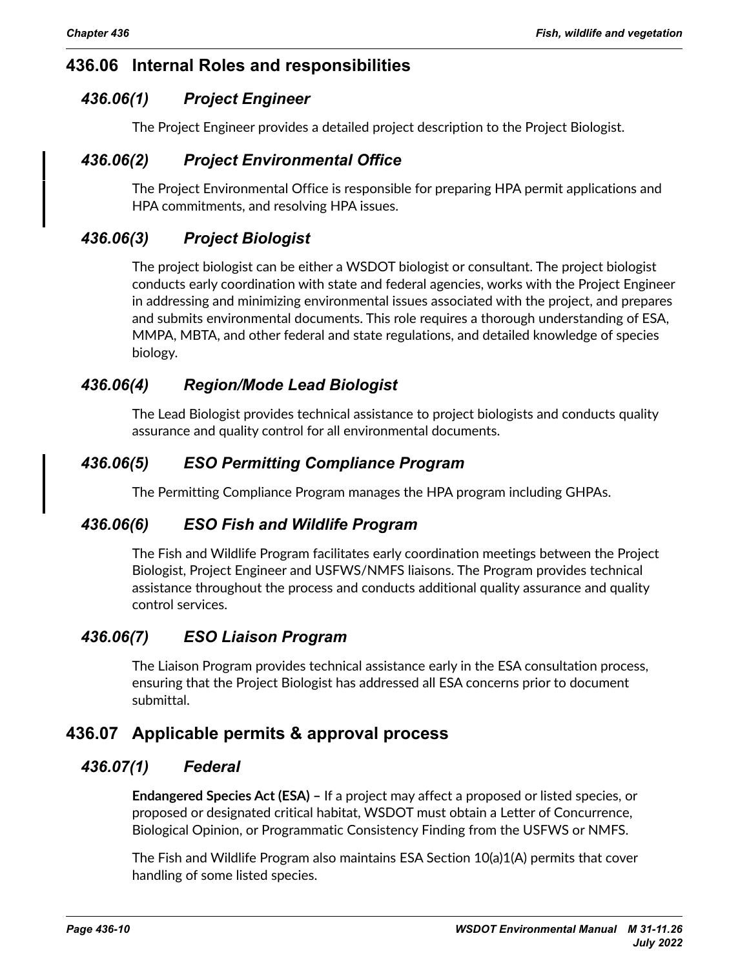# **436.06 Internal Roles and responsibilities**

# *436.06(1) Project Engineer*

<span id="page-9-0"></span>The Project Engineer provides a detailed project description to the Project Biologist.

# *436.06(2) Project Environmental Office*

The Project Environmental Office is responsible for preparing HPA permit applications and HPA commitments, and resolving HPA issues.

## *436.06(3) Project Biologist*

The project biologist can be either a WSDOT biologist or consultant. The project biologist conducts early coordination with state and federal agencies, works with the Project Engineer in addressing and minimizing environmental issues associated with the project, and prepares and submits environmental documents. This role requires a thorough understanding of ESA, MMPA, MBTA, and other federal and state regulations, and detailed knowledge of species biology.

# *436.06(4) Region/Mode Lead Biologist*

The Lead Biologist provides technical assistance to project biologists and conducts quality assurance and quality control for all environmental documents.

# *436.06(5) ESO Permitting Compliance Program*

The Permitting Compliance Program manages the HPA program including GHPAs.

### *436.06(6) ESO Fish and Wildlife Program*

The Fish and Wildlife Program facilitates early coordination meetings between the Project Biologist, Project Engineer and USFWS/NMFS liaisons. The Program provides technical assistance throughout the process and conducts additional quality assurance and quality control services.

# *436.06(7) ESO Liaison Program*

<span id="page-9-1"></span>The Liaison Program provides technical assistance early in the ESA consultation process, ensuring that the Project Biologist has addressed all ESA concerns prior to document submittal.

# **436.07 Applicable permits & approval process**

# *436.07(1) Federal*

**Endangered Species Act (ESA) –** If a project may affect a proposed or listed species, or proposed or designated critical habitat, WSDOT must obtain a Letter of Concurrence, Biological Opinion, or Programmatic Consistency Finding from the USFWS or NMFS.

The Fish and Wildlife Program also maintains ESA Section 10(a)1(A) permits that cover handling of some listed species.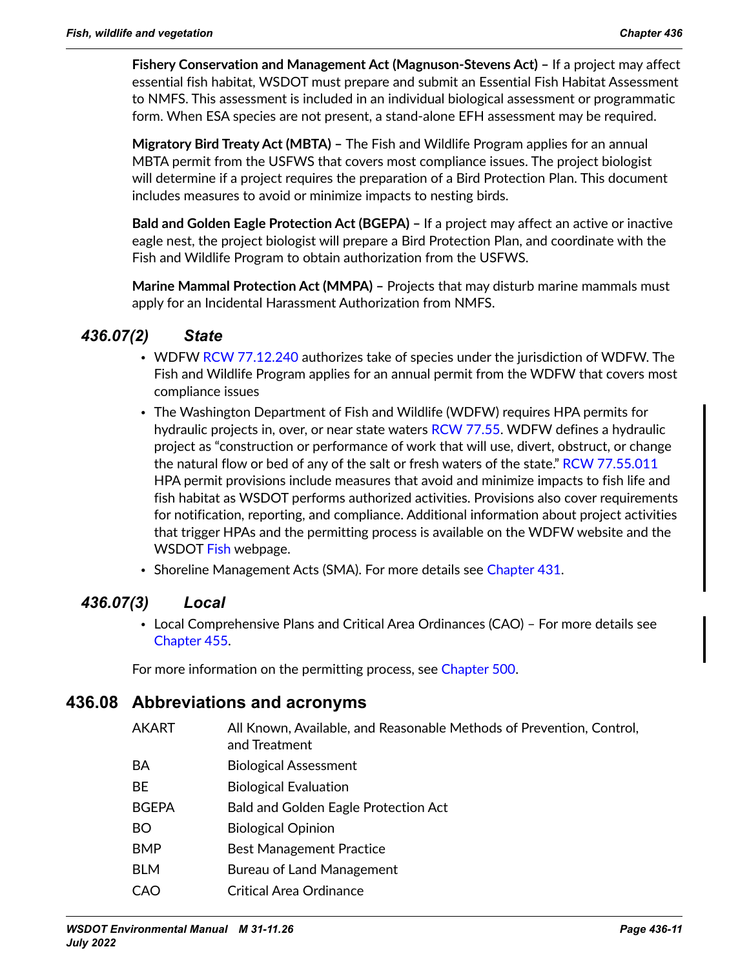**Fishery Conservation and Management Act (Magnuson-Stevens Act) –** If a project may affect essential fish habitat, WSDOT must prepare and submit an Essential Fish Habitat Assessment to NMFS. This assessment is included in an individual biological assessment or programmatic form. When ESA species are not present, a stand-alone EFH assessment may be required.

**Migratory Bird Treaty Act (MBTA) –** The Fish and Wildlife Program applies for an annual MBTA permit from the USFWS that covers most compliance issues. The project biologist will determine if a project requires the preparation of a Bird Protection Plan. This document includes measures to avoid or minimize impacts to nesting birds.

**Bald and Golden Eagle Protection Act (BGEPA) –** If a project may affect an active or inactive eagle nest, the project biologist will prepare a Bird Protection Plan, and coordinate with the Fish and Wildlife Program to obtain authorization from the USFWS.

**Marine Mammal Protection Act (MMPA) –** Projects that may disturb marine mammals must apply for an Incidental Harassment Authorization from NMFS.

# *436.07(2) State*

- WDFW [RCW 77.12.240](https://apps.leg.wa.gov/RCW/default.aspx?cite=77.12.240) authorizes take of species under the jurisdiction of WDFW. The Fish and Wildlife Program applies for an annual permit from the WDFW that covers most compliance issues
- The Washington Department of Fish and Wildlife (WDFW) requires HPA permits for hydraulic projects in, over, or near state waters [RCW 77.55](https://apps.leg.wa.gov/rcw/default.aspx?cite=77.55). WDFW defines a hydraulic project as "construction or performance of work that will use, divert, obstruct, or change the natural flow or bed of any of the salt or fresh waters of the state." [RCW 77.55.011](https://app.leg.wa.gov/RCW/default.aspx?cite=77.55.011) HPA permit provisions include measures that avoid and minimize impacts to fish life and fish habitat as WSDOT performs authorized activities. Provisions also cover requirements for notification, reporting, and compliance. Additional information about project activities that trigger HPAs and the permitting process is available on the WDFW website and the WSDOT [Fish](https://wsdot.wa.gov/engineering-standards/environmental-guidance/fish) webpage.
- Shoreline Management Acts (SMA). For more details see Chapter 431.

# *436.07(3) Local*

• Local Comprehensive Plans and Critical Area Ordinances (CAO) – For more details see Chapter 455.

<span id="page-10-0"></span>For more information on the permitting process, see Chapter 500.

# **436.08 Abbreviations and acronyms**

- AKART All Known, Available, and Reasonable Methods of Prevention, Control, and Treatment
- BA Biological Assessment
- BE Biological Evaluation
- BGEPA Bald and Golden Eagle Protection Act
- BO Biological Opinion
- BMP Best Management Practice
- BLM Bureau of Land Management
- CAO Critical Area Ordinance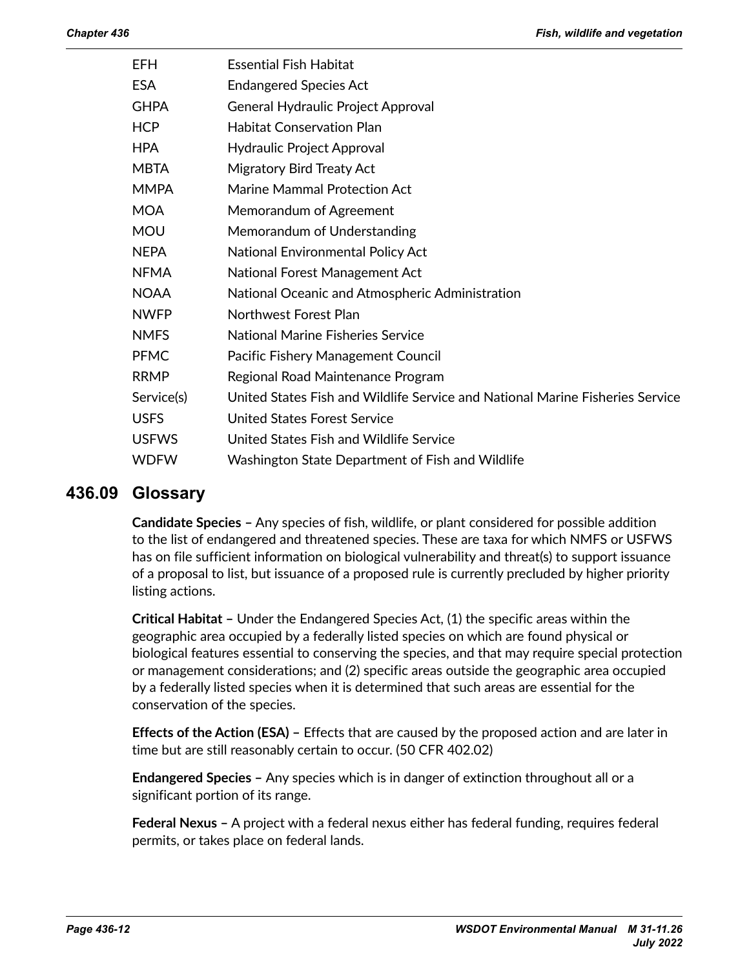| <b>EFH</b>   | <b>Essential Fish Habitat</b>                                                 |
|--------------|-------------------------------------------------------------------------------|
| <b>ESA</b>   | <b>Endangered Species Act</b>                                                 |
| <b>GHPA</b>  | General Hydraulic Project Approval                                            |
| <b>HCP</b>   | <b>Habitat Conservation Plan</b>                                              |
| <b>HPA</b>   | <b>Hydraulic Project Approval</b>                                             |
| <b>MBTA</b>  | Migratory Bird Treaty Act                                                     |
| <b>MMPA</b>  | <b>Marine Mammal Protection Act</b>                                           |
| <b>MOA</b>   | Memorandum of Agreement                                                       |
| <b>MOU</b>   | Memorandum of Understanding                                                   |
| <b>NEPA</b>  | National Environmental Policy Act                                             |
| <b>NFMA</b>  | National Forest Management Act                                                |
| <b>NOAA</b>  | National Oceanic and Atmospheric Administration                               |
| <b>NWFP</b>  | Northwest Forest Plan                                                         |
| <b>NMFS</b>  | <b>National Marine Fisheries Service</b>                                      |
| <b>PFMC</b>  | Pacific Fishery Management Council                                            |
| <b>RRMP</b>  | Regional Road Maintenance Program                                             |
| Service(s)   | United States Fish and Wildlife Service and National Marine Fisheries Service |
| <b>USFS</b>  | United States Forest Service                                                  |
| <b>USFWS</b> | United States Fish and Wildlife Service                                       |
| <b>WDFW</b>  | Washington State Department of Fish and Wildlife                              |

### **436.09 Glossary**

<span id="page-11-0"></span>**Candidate Species –** Any species of fish, wildlife, or plant considered for possible addition to the list of endangered and threatened species. These are taxa for which NMFS or USFWS has on file sufficient information on biological vulnerability and threat(s) to support issuance of a proposal to list, but issuance of a proposed rule is currently precluded by higher priority listing actions.

**Critical Habitat –** Under the Endangered Species Act, (1) the specific areas within the geographic area occupied by a federally listed species on which are found physical or biological features essential to conserving the species, and that may require special protection or management considerations; and (2) specific areas outside the geographic area occupied by a federally listed species when it is determined that such areas are essential for the conservation of the species.

**Effects of the Action (ESA) –** Effects that are caused by the proposed action and are later in time but are still reasonably certain to occur. (50 CFR 402.02)

**Endangered Species –** Any species which is in danger of extinction throughout all or a significant portion of its range.

**Federal Nexus –** A project with a federal nexus either has federal funding, requires federal permits, or takes place on federal lands.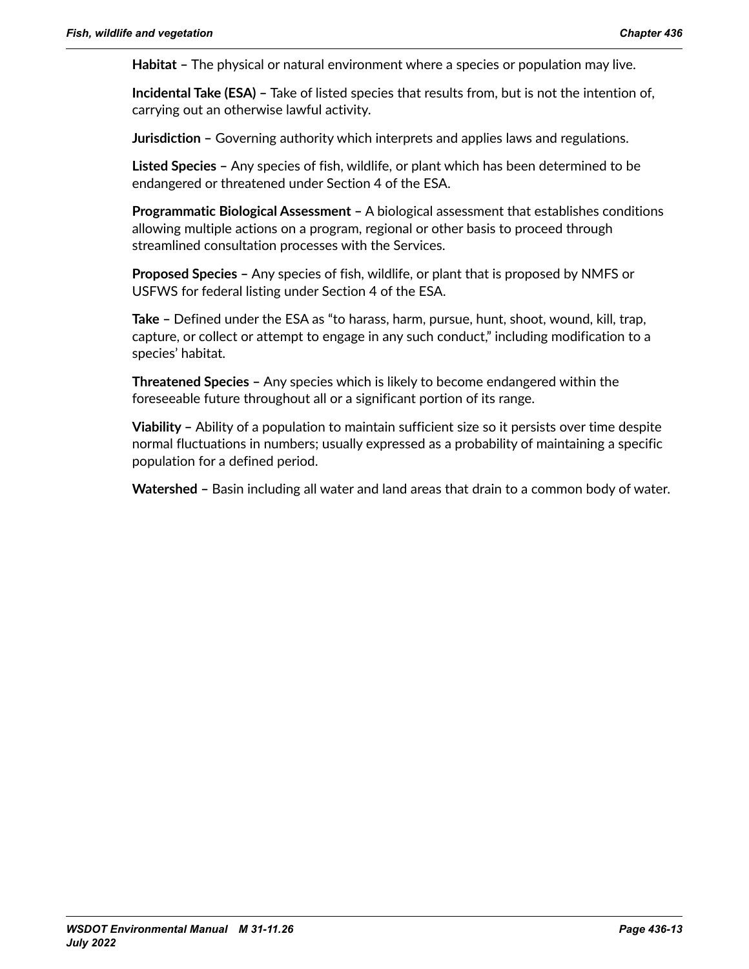**Habitat –** The physical or natural environment where a species or population may live.

**Incidental Take (ESA) –** Take of listed species that results from, but is not the intention of, carrying out an otherwise lawful activity.

**Jurisdiction –** Governing authority which interprets and applies laws and regulations.

**Listed Species –** Any species of fish, wildlife, or plant which has been determined to be endangered or threatened under Section 4 of the ESA.

**Programmatic Biological Assessment –** A biological assessment that establishes conditions allowing multiple actions on a program, regional or other basis to proceed through streamlined consultation processes with the Services.

**Proposed Species –** Any species of fish, wildlife, or plant that is proposed by NMFS or USFWS for federal listing under Section 4 of the ESA.

**Take –** Defined under the ESA as "to harass, harm, pursue, hunt, shoot, wound, kill, trap, capture, or collect or attempt to engage in any such conduct," including modification to a species' habitat.

**Threatened Species –** Any species which is likely to become endangered within the foreseeable future throughout all or a significant portion of its range.

**Viability –** Ability of a population to maintain sufficient size so it persists over time despite normal fluctuations in numbers; usually expressed as a probability of maintaining a specific population for a defined period.

**Watershed –** Basin including all water and land areas that drain to a common body of water.